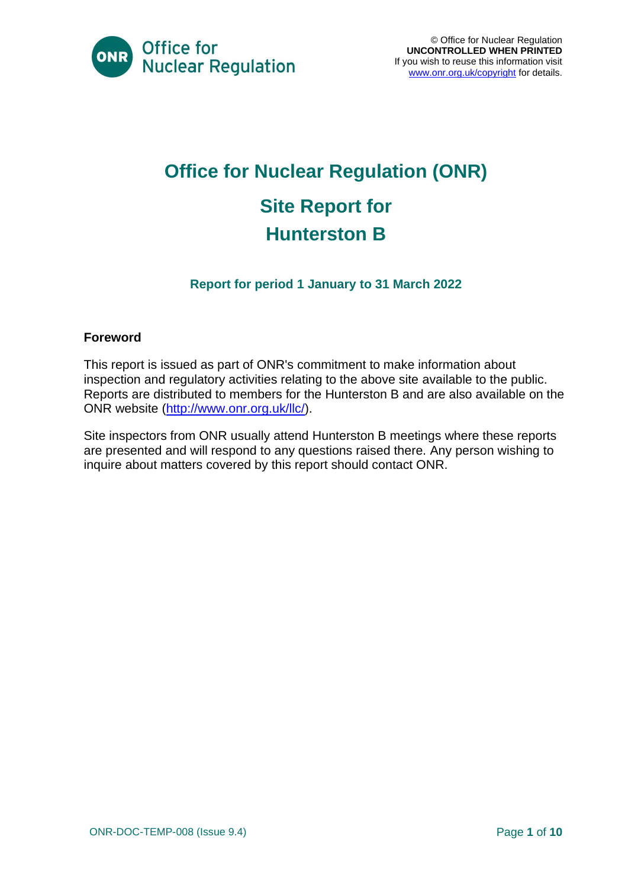

# **Office for Nuclear Regulation (ONR) Site Report for Hunterston B**

#### **Report for period 1 January to 31 March 2022**

#### **Foreword**

This report is issued as part of ONR's commitment to make information about inspection and regulatory activities relating to the above site available to the public. Reports are distributed to members for the Hunterston B and are also available on the ONR website [\(http://www.onr.org.uk/llc/\)](http://www.onr.org.uk/llc/).

Site inspectors from ONR usually attend Hunterston B meetings where these reports are presented and will respond to any questions raised there. Any person wishing to inquire about matters covered by this report should contact ONR.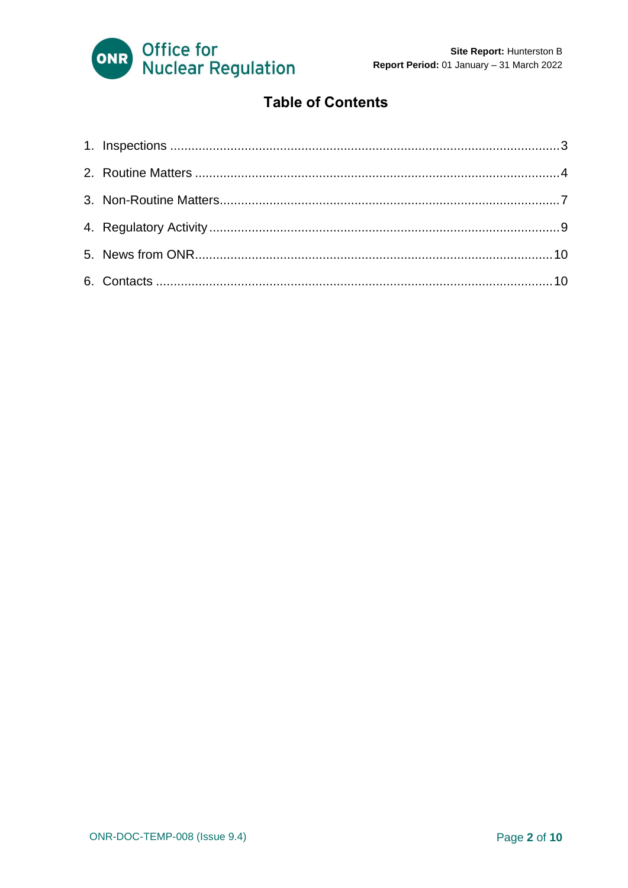

### **Table of Contents**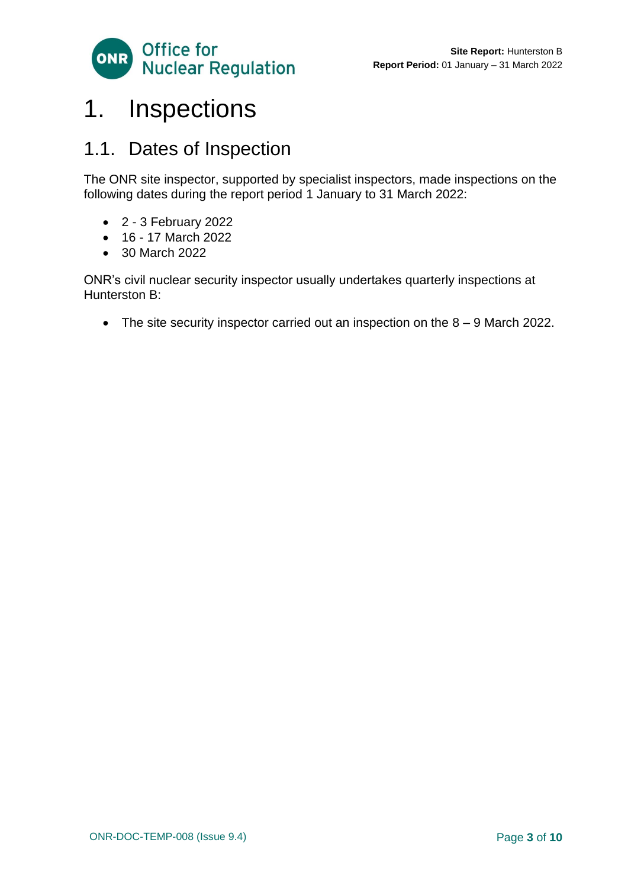

## <span id="page-2-0"></span>1. Inspections

### 1.1. Dates of Inspection

The ONR site inspector, supported by specialist inspectors, made inspections on the following dates during the report period 1 January to 31 March 2022:

- 2 3 February 2022
- 16 17 March 2022
- 30 March 2022

ONR's civil nuclear security inspector usually undertakes quarterly inspections at Hunterston B:

• The site security inspector carried out an inspection on the 8 – 9 March 2022.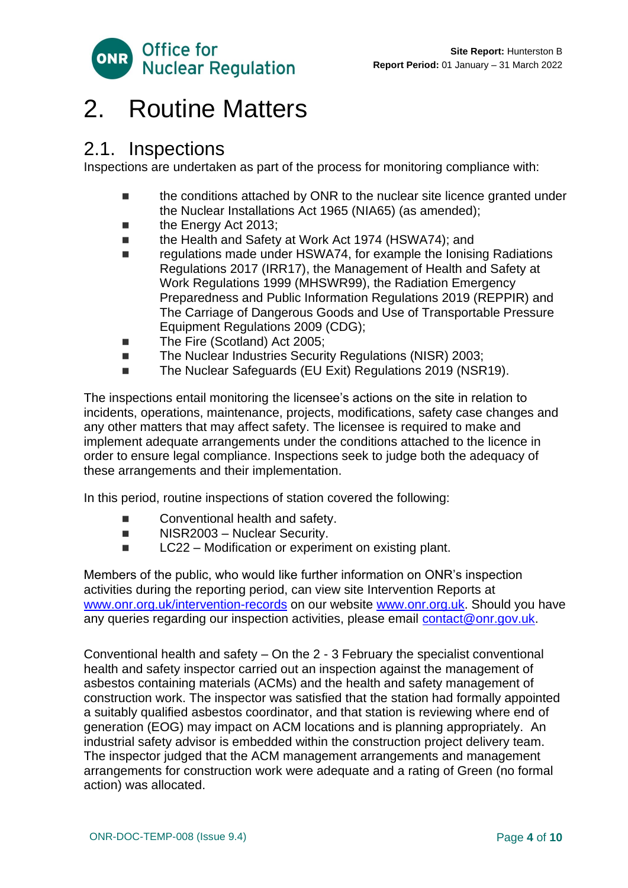

### <span id="page-3-0"></span>2. Routine Matters

### 2.1. Inspections

Inspections are undertaken as part of the process for monitoring compliance with:

- the conditions attached by ONR to the nuclear site licence granted under the Nuclear Installations Act 1965 (NIA65) (as amended);
- the Energy Act 2013;
- the Health and Safety at Work Act 1974 (HSWA74); and
- regulations made under HSWA74, for example the Ionising Radiations Regulations 2017 (IRR17), the Management of Health and Safety at Work Regulations 1999 (MHSWR99), the Radiation Emergency Preparedness and Public Information Regulations 2019 (REPPIR) and The Carriage of Dangerous Goods and Use of Transportable Pressure Equipment Regulations 2009 (CDG);
- The Fire (Scotland) Act 2005;
- The Nuclear Industries Security Regulations (NISR) 2003;
- The Nuclear Safeguards (EU Exit) Regulations 2019 (NSR19).

The inspections entail monitoring the licensee's actions on the site in relation to incidents, operations, maintenance, projects, modifications, safety case changes and any other matters that may affect safety. The licensee is required to make and implement adequate arrangements under the conditions attached to the licence in order to ensure legal compliance. Inspections seek to judge both the adequacy of these arrangements and their implementation.

In this period, routine inspections of station covered the following:

- Conventional health and safety.
- NISR2003 Nuclear Security.
- LC22 Modification or experiment on existing plant.

Members of the public, who would like further information on ONR's inspection activities during the reporting period, can view site Intervention Reports at [www.onr.org.uk/intervention-records](http://www.onr.org.uk./intervention-records) on our website [www.onr.org.uk.](http://www.onr.org.uk/) Should you have any queries regarding our inspection activities, please email [contact@onr.gov.uk.](mailto:contact@onr.gov.uk)

Conventional health and safety – On the 2 - 3 February the specialist conventional health and safety inspector carried out an inspection against the management of asbestos containing materials (ACMs) and the health and safety management of construction work. The inspector was satisfied that the station had formally appointed a suitably qualified asbestos coordinator, and that station is reviewing where end of generation (EOG) may impact on ACM locations and is planning appropriately. An industrial safety advisor is embedded within the construction project delivery team. The inspector judged that the ACM management arrangements and management arrangements for construction work were adequate and a rating of Green (no formal action) was allocated.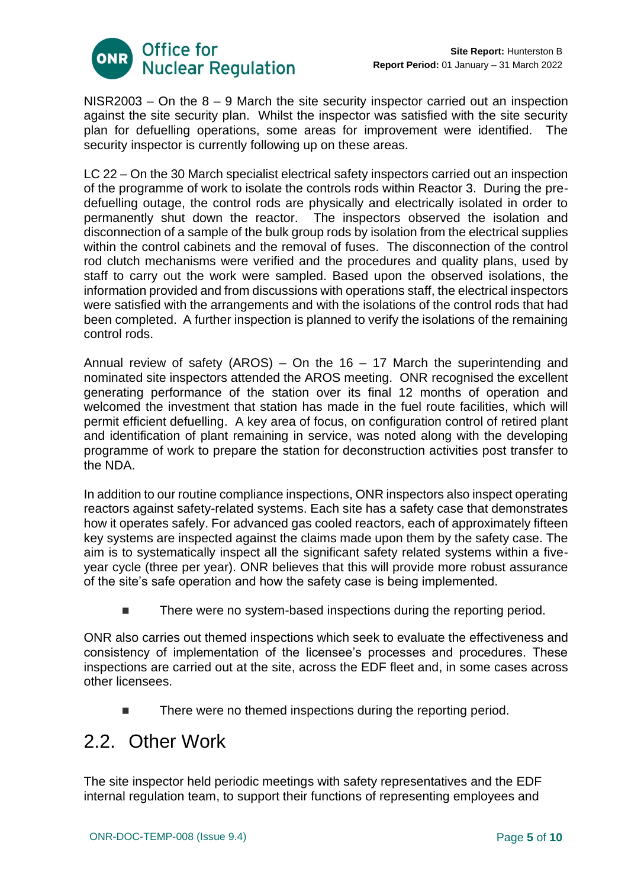

 $NISR2003 - On$  the  $8 - 9$  March the site security inspector carried out an inspection against the site security plan. Whilst the inspector was satisfied with the site security plan for defuelling operations, some areas for improvement were identified. The security inspector is currently following up on these areas.

LC 22 – On the 30 March specialist electrical safety inspectors carried out an inspection of the programme of work to isolate the controls rods within Reactor 3. During the predefuelling outage, the control rods are physically and electrically isolated in order to permanently shut down the reactor. The inspectors observed the isolation and disconnection of a sample of the bulk group rods by isolation from the electrical supplies within the control cabinets and the removal of fuses. The disconnection of the control rod clutch mechanisms were verified and the procedures and quality plans, used by staff to carry out the work were sampled. Based upon the observed isolations, the information provided and from discussions with operations staff, the electrical inspectors were satisfied with the arrangements and with the isolations of the control rods that had been completed. A further inspection is planned to verify the isolations of the remaining control rods.

Annual review of safety (AROS) – On the  $16 - 17$  March the superintending and nominated site inspectors attended the AROS meeting. ONR recognised the excellent generating performance of the station over its final 12 months of operation and welcomed the investment that station has made in the fuel route facilities, which will permit efficient defuelling. A key area of focus, on configuration control of retired plant and identification of plant remaining in service, was noted along with the developing programme of work to prepare the station for deconstruction activities post transfer to the NDA.

In addition to our routine compliance inspections, ONR inspectors also inspect operating reactors against safety-related systems. Each site has a safety case that demonstrates how it operates safely. For advanced gas cooled reactors, each of approximately fifteen key systems are inspected against the claims made upon them by the safety case. The aim is to systematically inspect all the significant safety related systems within a fiveyear cycle (three per year). ONR believes that this will provide more robust assurance of the site's safe operation and how the safety case is being implemented.

There were no system-based inspections during the reporting period.

ONR also carries out themed inspections which seek to evaluate the effectiveness and consistency of implementation of the licensee's processes and procedures. These inspections are carried out at the site, across the EDF fleet and, in some cases across other licensees.

There were no themed inspections during the reporting period.

### 2.2. Other Work

The site inspector held periodic meetings with safety representatives and the EDF internal regulation team, to support their functions of representing employees and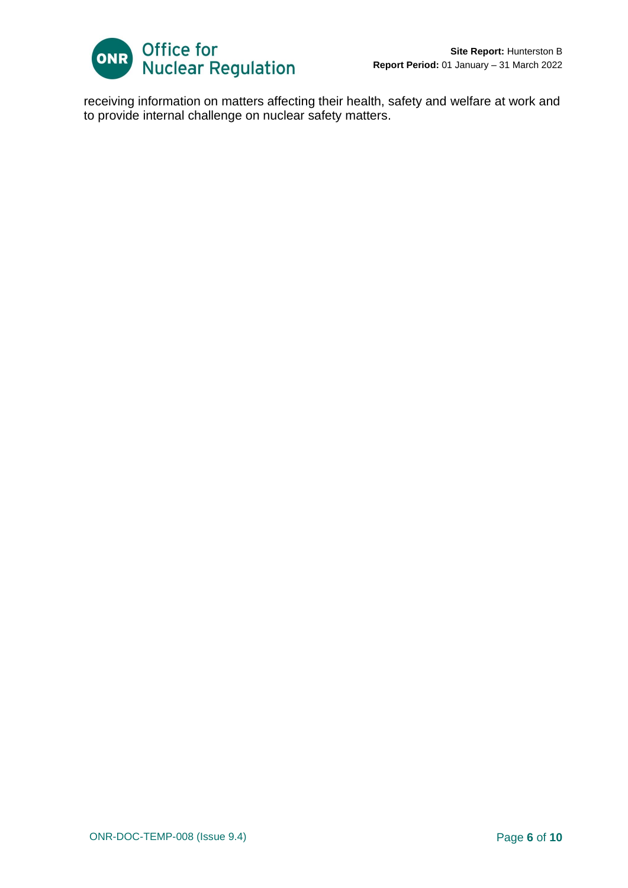

receiving information on matters affecting their health, safety and welfare at work and to provide internal challenge on nuclear safety matters.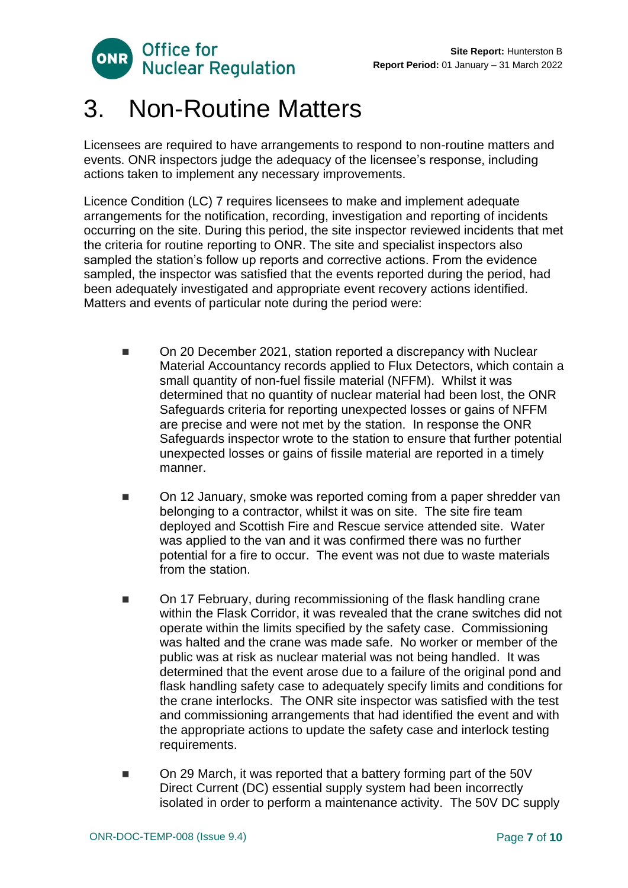

# <span id="page-6-0"></span>3. Non-Routine Matters

Licensees are required to have arrangements to respond to non-routine matters and events. ONR inspectors judge the adequacy of the licensee's response, including actions taken to implement any necessary improvements.

Licence Condition (LC) 7 requires licensees to make and implement adequate arrangements for the notification, recording, investigation and reporting of incidents occurring on the site. During this period, the site inspector reviewed incidents that met the criteria for routine reporting to ONR. The site and specialist inspectors also sampled the station's follow up reports and corrective actions. From the evidence sampled, the inspector was satisfied that the events reported during the period, had been adequately investigated and appropriate event recovery actions identified. Matters and events of particular note during the period were:

- On 20 December 2021, station reported a discrepancy with Nuclear Material Accountancy records applied to Flux Detectors, which contain a small quantity of non-fuel fissile material (NFFM). Whilst it was determined that no quantity of nuclear material had been lost, the ONR Safeguards criteria for reporting unexpected losses or gains of NFFM are precise and were not met by the station. In response the ONR Safeguards inspector wrote to the station to ensure that further potential unexpected losses or gains of fissile material are reported in a timely manner.
- On 12 January, smoke was reported coming from a paper shredder van belonging to a contractor, whilst it was on site. The site fire team deployed and Scottish Fire and Rescue service attended site. Water was applied to the van and it was confirmed there was no further potential for a fire to occur. The event was not due to waste materials from the station.
- On 17 February, during recommissioning of the flask handling crane within the Flask Corridor, it was revealed that the crane switches did not operate within the limits specified by the safety case. Commissioning was halted and the crane was made safe. No worker or member of the public was at risk as nuclear material was not being handled. It was determined that the event arose due to a failure of the original pond and flask handling safety case to adequately specify limits and conditions for the crane interlocks. The ONR site inspector was satisfied with the test and commissioning arrangements that had identified the event and with the appropriate actions to update the safety case and interlock testing requirements.
- On 29 March, it was reported that a battery forming part of the 50V Direct Current (DC) essential supply system had been incorrectly isolated in order to perform a maintenance activity. The 50V DC supply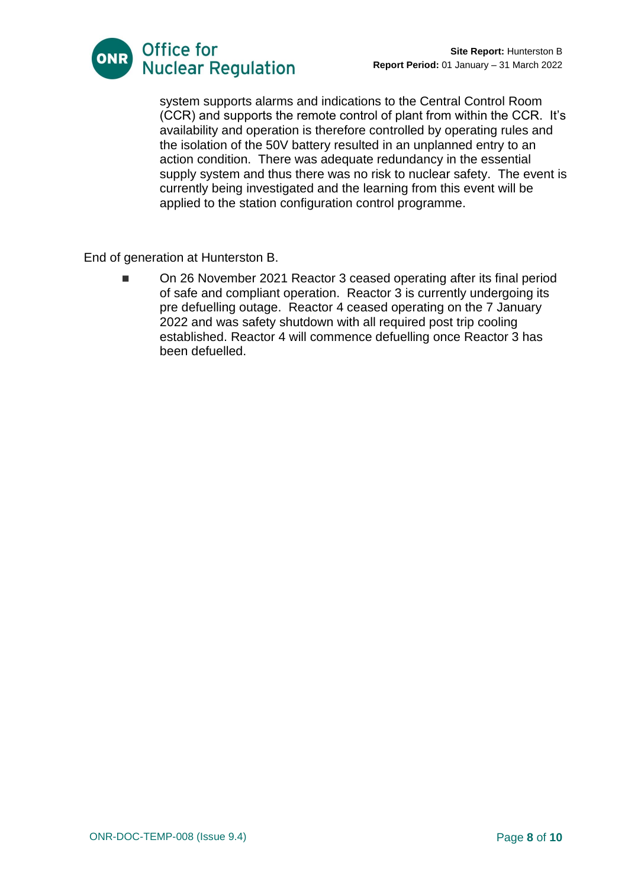

system supports alarms and indications to the Central Control Room (CCR) and supports the remote control of plant from within the CCR. It's availability and operation is therefore controlled by operating rules and the isolation of the 50V battery resulted in an unplanned entry to an action condition. There was adequate redundancy in the essential supply system and thus there was no risk to nuclear safety. The event is currently being investigated and the learning from this event will be applied to the station configuration control programme.

End of generation at Hunterston B.

◼ On 26 November 2021 Reactor 3 ceased operating after its final period of safe and compliant operation. Reactor 3 is currently undergoing its pre defuelling outage. Reactor 4 ceased operating on the 7 January 2022 and was safety shutdown with all required post trip cooling established. Reactor 4 will commence defuelling once Reactor 3 has been defuelled.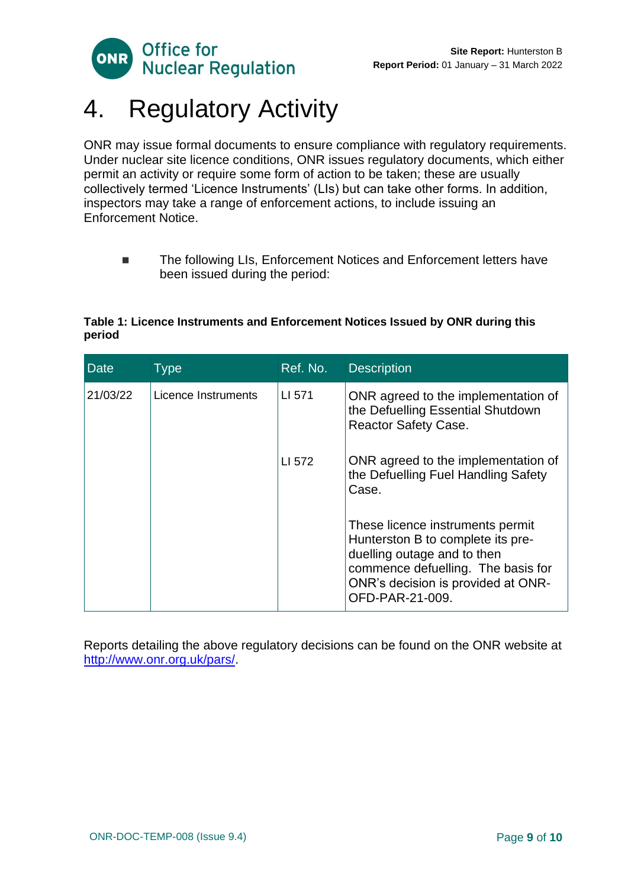



# <span id="page-8-0"></span>4. Regulatory Activity

ONR may issue formal documents to ensure compliance with regulatory requirements. Under nuclear site licence conditions, ONR issues regulatory documents, which either permit an activity or require some form of action to be taken; these are usually collectively termed 'Licence Instruments' (LIs) but can take other forms. In addition, inspectors may take a range of enforcement actions, to include issuing an Enforcement Notice.

■ The following LIs, Enforcement Notices and Enforcement letters have been issued during the period:

#### **Table 1: Licence Instruments and Enforcement Notices Issued by ONR during this period**

| <b>Date</b> | <b>Type</b>         | Ref. No. | <b>Description</b>                                                                                                                                                                                  |
|-------------|---------------------|----------|-----------------------------------------------------------------------------------------------------------------------------------------------------------------------------------------------------|
| 21/03/22    | Licence Instruments | LI 571   | ONR agreed to the implementation of<br>the Defuelling Essential Shutdown<br><b>Reactor Safety Case.</b>                                                                                             |
|             |                     | LI 572   | ONR agreed to the implementation of<br>the Defuelling Fuel Handling Safety<br>Case.                                                                                                                 |
|             |                     |          | These licence instruments permit<br>Hunterston B to complete its pre-<br>duelling outage and to then<br>commence defuelling. The basis for<br>ONR's decision is provided at ONR-<br>OFD-PAR-21-009. |

Reports detailing the above regulatory decisions can be found on the ONR website at [http://www.onr.org.uk/pars/.](http://www.onr.org.uk/pars/)